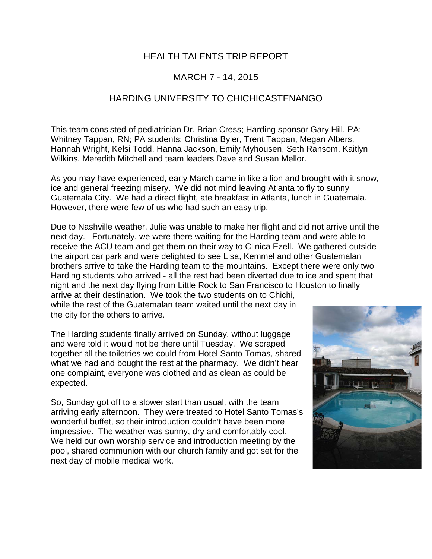## HEALTH TALENTS TRIP REPORT

## MARCH 7 - 14, 2015

## HARDING UNIVERSITY TO CHICHICASTENANGO

This team consisted of pediatrician Dr. Brian Cress; Harding sponsor Gary Hill, PA; Whitney Tappan, RN; PA students: Christina Byler, Trent Tappan, Megan Albers, Hannah Wright, Kelsi Todd, Hanna Jackson, Emily Myhousen, Seth Ransom, Kaitlyn Wilkins, Meredith Mitchell and team leaders Dave and Susan Mellor.

As you may have experienced, early March came in like a lion and brought with it snow, ice and general freezing misery. We did not mind leaving Atlanta to fly to sunny Guatemala City. We had a direct flight, ate breakfast in Atlanta, lunch in Guatemala. However, there were few of us who had such an easy trip.

Due to Nashville weather, Julie was unable to make her flight and did not arrive until the next day. Fortunately, we were there waiting for the Harding team and were able to receive the ACU team and get them on their way to Clinica Ezell. We gathered outside the airport car park and were delighted to see Lisa, Kemmel and other Guatemalan brothers arrive to take the Harding team to the mountains. Except there were only two Harding students who arrived - all the rest had been diverted due to ice and spent that night and the next day flying from Little Rock to San Francisco to Houston to finally arrive at their destination. We took the two students on to Chichi,

while the rest of the Guatemalan team waited until the next day in the city for the others to arrive.

The Harding students finally arrived on Sunday, without luggage and were told it would not be there until Tuesday. We scraped together all the toiletries we could from Hotel Santo Tomas, shared what we had and bought the rest at the pharmacy. We didn't hear one complaint, everyone was clothed and as clean as could be expected.

So, Sunday got off to a slower start than usual, with the team arriving early afternoon. They were treated to Hotel Santo Tomas's wonderful buffet, so their introduction couldn't have been more impressive. The weather was sunny, dry and comfortably cool. We held our own worship service and introduction meeting by the pool, shared communion with our church family and got set for the next day of mobile medical work.